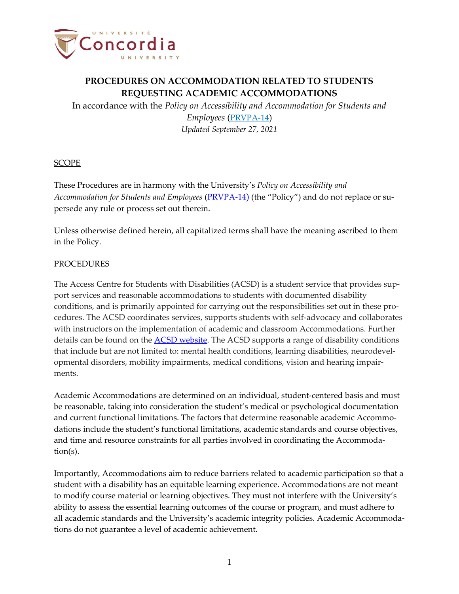

In accordance with the *Policy on Accessibility and Accommodation for Students and Employees* ([PRVPA-14](https://www.concordia.ca/content/dam/common/docs/policies/official-policies/PRVPA-14.pdf)) *Updated September 27, 2021*

#### SCOPE

These Procedures are in harmony with the University's *Policy on Accessibility and Accommodation for Students and Employees* [\(PRVPA-14](https://www.concordia.ca/content/dam/common/docs/policies/official-policies/PRVPA-14.pdf)) (the "Policy") and do not replace or supersede any rule or process set out therein.

Unless otherwise defined herein, all capitalized terms shall have the meaning ascribed to them in the Policy.

### PROCEDURES

The Access Centre for Students with Disabilities (ACSD) is a student service that provides support services and reasonable accommodations to students with documented disability conditions, and is primarily appointed for carrying out the responsibilities set out in these procedures. The ACSD coordinates services, supports students with self-advocacy and collaborates with instructors on the implementation of academic and classroom Accommodations. Further details can be found on the ACSD [website.](https://www.concordia.ca/students/accessibility.html) The ACSD supports a range of disability conditions that include but are not limited to: mental health conditions, learning disabilities, neurodevelopmental disorders, mobility impairments, medical conditions, vision and hearing impairments.

Academic Accommodations are determined on an individual, student-centered basis and must be reasonable, taking into consideration the student's medical or psychological documentation and current functional limitations. The factors that determine reasonable academic Accommodations include the student's functional limitations, academic standards and course objectives, and time and resource constraints for all parties involved in coordinating the Accommodation(s).

Importantly, Accommodations aim to reduce barriers related to academic participation so that a student with a disability has an equitable learning experience. Accommodations are not meant to modify course material or learning objectives. They must not interfere with the University's ability to assess the essential learning outcomes of the course or program, and must adhere to all academic standards and the University's academic integrity policies. Academic Accommodations do not guarantee a level of academic achievement.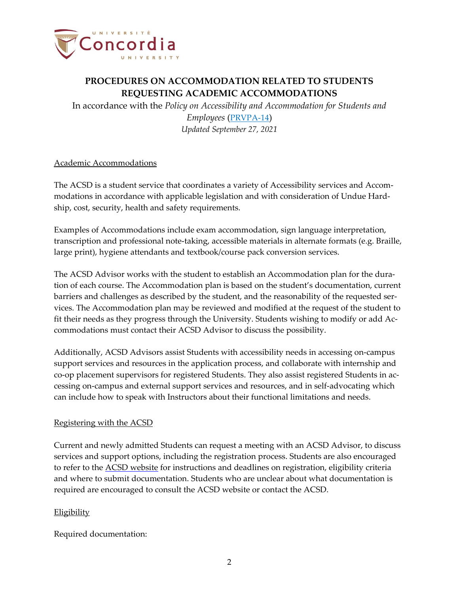

In accordance with the *Policy on Accessibility and Accommodation for Students and Employees* ([PRVPA-14](https://www.concordia.ca/content/dam/common/docs/policies/official-policies/PRVPA-14.pdf)) *Updated September 27, 2021*

### Academic Accommodations

The ACSD is a student service that coordinates a variety of Accessibility services and Accommodations in accordance with applicable legislation and with consideration of Undue Hardship, cost, security, health and safety requirements.

Examples of Accommodations include exam accommodation, sign language interpretation, transcription and professional note-taking, accessible materials in alternate formats (e.g. Braille, large print), hygiene attendants and textbook/course pack conversion services.

The ACSD Advisor works with the student to establish an Accommodation plan for the duration of each course. The Accommodation plan is based on the student's documentation, current barriers and challenges as described by the student, and the reasonability of the requested services. The Accommodation plan may be reviewed and modified at the request of the student to fit their needs as they progress through the University. Students wishing to modify or add Accommodations must contact their ACSD Advisor to discuss the possibility.

Additionally, ACSD Advisors assist Students with accessibility needs in accessing on-campus support services and resources in the application process, and collaborate with internship and co-op placement supervisors for registered Students. They also assist registered Students in accessing on-campus and external support services and resources, and in self-advocating which can include how to speak with Instructors about their functional limitations and needs.

#### Registering with the ACSD

Current and newly admitted Students can request a meeting with an ACSD Advisor, to discuss services and support options, including the registration process. Students are also encouraged to refer to the ACSD [website](https://www.concordia.ca/students/accessibility.html) for instructions and deadlines on registration, eligibility criteria and where to submit documentation. Students who are unclear about what documentation is required are encouraged to consult the ACSD website or contact the ACSD.

### Eligibility

Required documentation: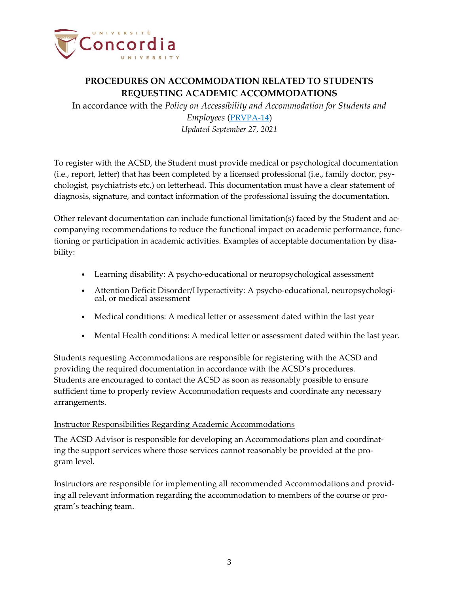

In accordance with the *Policy on Accessibility and Accommodation for Students and Employees* ([PRVPA-14](https://www.concordia.ca/content/dam/common/docs/policies/official-policies/PRVPA-14.pdf)) *Updated September 27, 2021*

To register with the ACSD, the Student must provide medical or psychological documentation (i.e., report, letter) that has been completed by a licensed professional (i.e., family doctor, psychologist, psychiatrists etc.) on letterhead. This documentation must have a clear statement of diagnosis, signature, and contact information of the professional issuing the documentation.

Other relevant documentation can include functional limitation(s) faced by the Student and accompanying recommendations to reduce the functional impact on academic performance, functioning or participation in academic activities. Examples of acceptable documentation by disability:

- Learning disability: A psycho-educational or neuropsychological assessment
- Attention Deficit Disorder/Hyperactivity: A psycho-educational, neuropsychological, or medical assessment
- Medical conditions: A medical letter or assessment dated within the last year
- Mental Health conditions: A medical letter or assessment dated within the last year.

Students requesting Accommodations are responsible for registering with the ACSD and providing the required documentation in accordance with the ACSD's procedures. Students are encouraged to contact the ACSD as soon as reasonably possible to ensure sufficient time to properly review Accommodation requests and coordinate any necessary arrangements.

#### Instructor Responsibilities Regarding Academic Accommodations

The ACSD Advisor is responsible for developing an Accommodations plan and coordinating the support services where those services cannot reasonably be provided at the program level.

Instructors are responsible for implementing all recommended Accommodations and providing all relevant information regarding the accommodation to members of the course or program's teaching team.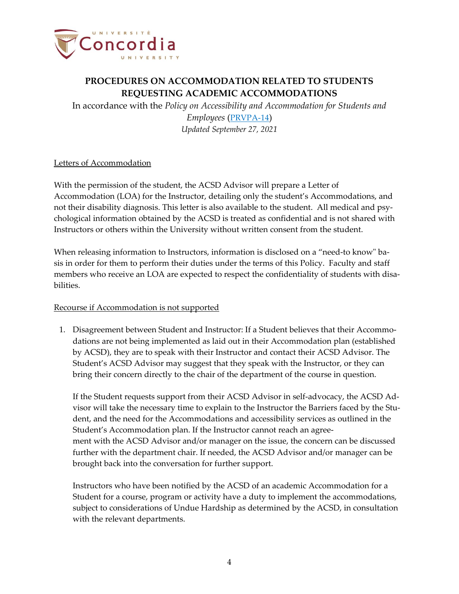

In accordance with the *Policy on Accessibility and Accommodation for Students and Employees* ([PRVPA-14](https://www.concordia.ca/content/dam/common/docs/policies/official-policies/PRVPA-14.pdf)) *Updated September 27, 2021*

#### Letters of Accommodation

With the permission of the student, the ACSD Advisor will prepare a Letter of Accommodation (LOA) for the Instructor, detailing only the student's Accommodations, and not their disability diagnosis. This letter is also available to the student. All medical and psychological information obtained by the ACSD is treated as confidential and is not shared with Instructors or others within the University without written consent from the student.

When releasing information to Instructors, information is disclosed on a "need-to know" basis in order for them to perform their duties under the terms of this Policy. Faculty and staff members who receive an LOA are expected to respect the confidentiality of students with disabilities.

#### Recourse if Accommodation is not supported

1. Disagreement between Student and Instructor: If a Student believes that their Accommodations are not being implemented as laid out in their Accommodation plan (established by ACSD), they are to speak with their Instructor and contact their ACSD Advisor. The Student's ACSD Advisor may suggest that they speak with the Instructor, or they can bring their concern directly to the chair of the department of the course in question.

If the Student requests support from their ACSD Advisor in self-advocacy, the ACSD Advisor will take the necessary time to explain to the Instructor the Barriers faced by the Student, and the need for the Accommodations and accessibility services as outlined in the Student's Accommodation plan. If the Instructor cannot reach an agreement with the ACSD Advisor and/or manager on the issue, the concern can be discussed further with the department chair. If needed, the ACSD Advisor and/or manager can be brought back into the conversation for further support.

Instructors who have been notified by the ACSD of an academic Accommodation for a Student for a course, program or activity have a duty to implement the accommodations, subject to considerations of Undue Hardship as determined by the ACSD, in consultation with the relevant departments.